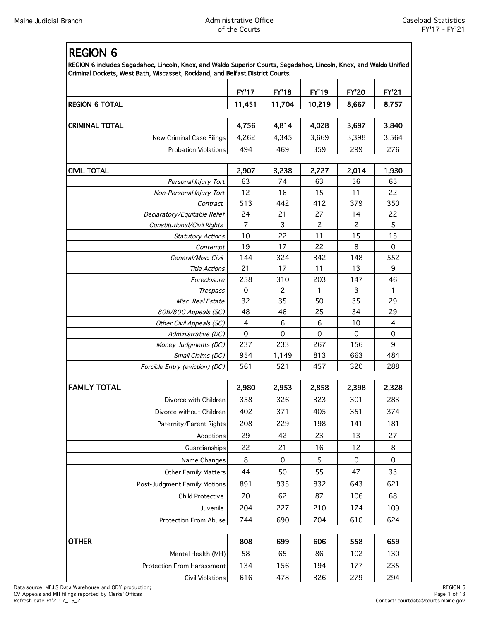REGION 6

| REGION 6 includes Sagadahoc, Lincoln, Knox, and Waldo Superior Courts, Sagadahoc, Lincoln, Knox, and Waldo Unified<br>Criminal Dockets, West Bath, Wiscasset, Rockland, and Belfast District Courts. |                |                     |                |                |                |  |
|------------------------------------------------------------------------------------------------------------------------------------------------------------------------------------------------------|----------------|---------------------|----------------|----------------|----------------|--|
|                                                                                                                                                                                                      | <b>EY'17</b>   | <b>EY'18</b>        | <b>EY'19</b>   | <b>FY'20</b>   | <b>EY'21</b>   |  |
| <b>REGION 6 TOTAL</b>                                                                                                                                                                                | 11,451         | 11,704              | 10,219         | 8,667          | 8,757          |  |
| <b>CRIMINAL TOTAL</b>                                                                                                                                                                                | 4,756          | 4,814               | 4,028          | 3,697          | 3,840          |  |
| New Criminal Case Filings                                                                                                                                                                            | 4,262          | 4,345               | 3,669          | 3,398          | 3,564          |  |
| <b>Probation Violations</b>                                                                                                                                                                          | 494            | 469                 | 359            | 299            | 276            |  |
|                                                                                                                                                                                                      |                |                     |                |                |                |  |
| <b>CIVIL TOTAL</b>                                                                                                                                                                                   | 2,907          | 3,238               | 2,727          | 2,014          | 1,930          |  |
| Personal Injury Tort                                                                                                                                                                                 | 63             | 74                  | 63             | 56             | 65             |  |
| Non-Personal Injury Tort                                                                                                                                                                             | 12             | 16                  | 15             | 11             | 22             |  |
| Contract                                                                                                                                                                                             | 513            | 442                 | 412            | 379            | 350            |  |
| Declaratory/Equitable Relief                                                                                                                                                                         | 24             | 21                  | 27             | 14             | 22             |  |
| Constitutional/Civil Rights                                                                                                                                                                          | $\overline{7}$ | 3                   | $\overline{c}$ | $\overline{c}$ | 5              |  |
| <b>Statutory Actions</b>                                                                                                                                                                             | 10             | 22                  | 11             | 15             | 15             |  |
| Contempt                                                                                                                                                                                             | 19             | 17                  | 22             | 8              | $\mathbf 0$    |  |
| General/Misc. Civil                                                                                                                                                                                  | 144            | 324                 | 342            | 148            | 552            |  |
| <b>Title Actions</b>                                                                                                                                                                                 | 21             | 17                  | 11             | 13             | 9              |  |
| Foreclosure                                                                                                                                                                                          | 258            | 310                 | 203            | 147            | 46             |  |
| Trespass                                                                                                                                                                                             | $\mathbf 0$    | $\overline{c}$      | $\mathbf{1}$   | 3              | $\mathbf{1}$   |  |
| Misc. Real Estate                                                                                                                                                                                    | 32             | 35                  | 50             | 35             | 29             |  |
| 80B/80C Appeals (SC)                                                                                                                                                                                 | 48             | 46                  | 25             | 34             | 29             |  |
| Other Civil Appeals (SC)                                                                                                                                                                             | $\overline{4}$ | 6                   | $\,6$          | 10             | $\overline{4}$ |  |
| Administrative (DC)                                                                                                                                                                                  | $\Omega$       | $\Omega$            | $\Omega$       | $\Omega$       | $\mathbf 0$    |  |
| Money Judgments (DC)                                                                                                                                                                                 | 237            | 233                 | 267            | 156            | 9              |  |
| Small Claims (DC)                                                                                                                                                                                    | 954            | 1,149               | 813            | 663            | 484            |  |
| Forcible Entry (eviction) (DC)                                                                                                                                                                       | 561            | 521                 | 457            | 320            | 288            |  |
|                                                                                                                                                                                                      |                |                     |                |                |                |  |
| FAMILY TOTAL                                                                                                                                                                                         | 2,980          | 2,953               | 2,858          | 2,398          | 2,328          |  |
| Divorce with Children                                                                                                                                                                                | 358            | 326                 | 323            | 301            | 283            |  |
| Divorce without Children                                                                                                                                                                             | 402            | 371                 | 405            | 351            | 374            |  |
| Paternity/Parent Rights                                                                                                                                                                              | 208            | 229                 | 198            | 141            | 181            |  |
| Adoptions                                                                                                                                                                                            | 29             | 42                  | 23             | 13             | 27             |  |
| Guardianships                                                                                                                                                                                        | 22             | 21                  | 16             | 12             | 8              |  |
| Name Changes                                                                                                                                                                                         | 8              | $\mathsf{O}\xspace$ | 5              | $\mathbf 0$    | $\mathbf 0$    |  |
| <b>Other Family Matters</b>                                                                                                                                                                          | 44             | 50                  | 55             | 47             | 33             |  |
| Post-Judgment Family Motions                                                                                                                                                                         | 891            | 935                 | 832            | 643            | 621            |  |
| <b>Child Protective</b>                                                                                                                                                                              | 70             | 62                  | 87             | 106            | 68             |  |
| Juvenile                                                                                                                                                                                             | 204            | 227                 | 210            | 174            | 109            |  |
| Protection From Abuse                                                                                                                                                                                | 744            | 690                 | 704            | 610            | 624            |  |
|                                                                                                                                                                                                      |                |                     |                |                |                |  |
| <b>OTHER</b>                                                                                                                                                                                         | 808            | 699                 | 606            | 558            | 659            |  |
| Mental Health (MH)                                                                                                                                                                                   | 58             | 65                  | 86             | 102            | 130            |  |
| Protection From Harassment                                                                                                                                                                           | 134            | 156                 | 194            | 177            | 235            |  |
| <b>Civil Violations</b>                                                                                                                                                                              | 616            | 478                 | 326            | 279            | 294            |  |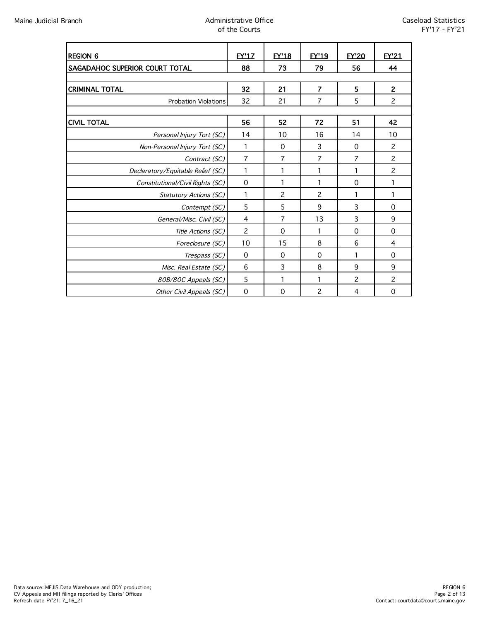| <b>REGION 6</b>                   | <b>EY'17</b>   | <b>EY'18</b>   | <b>EY'19</b>   | <b>EY'20</b> | <b>FY'21</b>   |
|-----------------------------------|----------------|----------------|----------------|--------------|----------------|
| SAGADAHOC SUPERIOR COURT TOTAL    | 88             | 73             | 79             | 56           | 44             |
|                                   |                |                |                |              |                |
| <b>CRIMINAL TOTAL</b>             | 32             | 21             | $\overline{7}$ | 5            | $\overline{2}$ |
| <b>Probation Violations</b>       | 32             | 21             | 7              | 5            | $\overline{c}$ |
|                                   |                |                |                |              |                |
| <b>CIVIL TOTAL</b>                | 56             | 52             | 72             | 51           | 42             |
| Personal Injury Tort (SC)         | 14             | 10             | 16             | 14           | 10             |
| Non-Personal Injury Tort (SC)     | 1              | $\Omega$       | 3              | $\Omega$     | 2              |
| Contract (SC)                     | 7              | $\overline{7}$ | 7              | 7            | $\overline{c}$ |
| Declaratory/Equitable Relief (SC) | 1              | 1              | 1              |              | $\overline{c}$ |
| Constitutional/Civil Rights (SC)  | $\mathbf 0$    | 1              | 1              | $\Omega$     |                |
| <b>Statutory Actions (SC)</b>     | 1              | 2              | 2              | 1            | 1              |
| Contempt (SC)                     | 5              | 5              | 9              | 3            | $\mathbf 0$    |
| General/Misc. Civil (SC)          | 4              | 7              | 13             | 3            | 9              |
| Title Actions (SC)                | $\overline{c}$ | $\Omega$       |                | $\Omega$     | $\mathbf 0$    |
| Foreclosure (SC)                  | 10             | 15             | 8              | 6            | 4              |
| Trespass (SC)                     | $\mathbf 0$    | $\mathbf 0$    | $\mathbf 0$    |              | $\mathbf 0$    |
| Misc. Real Estate (SC)            | 6              | 3              | 8              | 9            | 9              |
| 80B/80C Appeals (SC)              | 5              | 1              | 1              | 2            | 2              |
| Other Civil Appeals (SC)          | $\mathbf 0$    | $\Omega$       | 2              | 4            | $\mathbf 0$    |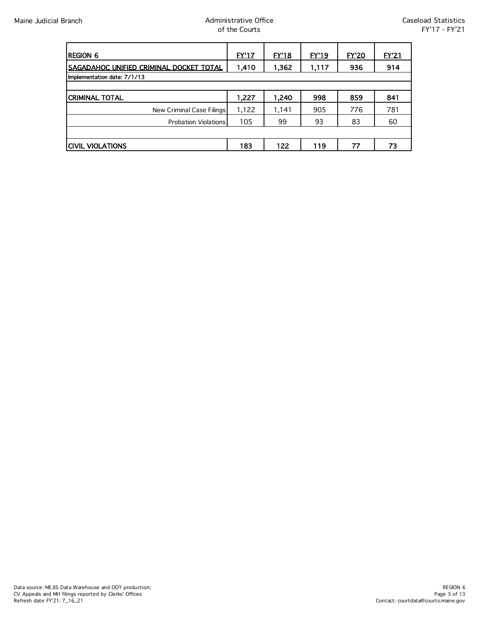| <b>REGION 6</b>                         | <u>EY'17</u> | <b>EY'18</b> | <b>EY'19</b> | <b>EY'20</b> | <b>EY'21</b> |
|-----------------------------------------|--------------|--------------|--------------|--------------|--------------|
| SAGADAHOC UNIFIED CRIMINAL DOCKET TOTAL | 1,410        | 1,362        | 1,117        | 936          | 914          |
| Implementation date: 7/1/13             |              |              |              |              |              |
|                                         |              |              |              |              |              |
| <b>CRIMINAL TOTAL</b>                   | 1,227        | 1,240        | 998          | 859          | 841          |
| New Criminal Case Filings               | 1,122        | 1,141        | 905          | 776          | 781          |
| <b>Probation Violations</b>             | 105          | 99           | 93           | 83           | 60           |
|                                         |              |              |              |              |              |
| <b>CIVIL VIOLATIONS</b>                 | 183          | 122          | 119          | 77           | 73           |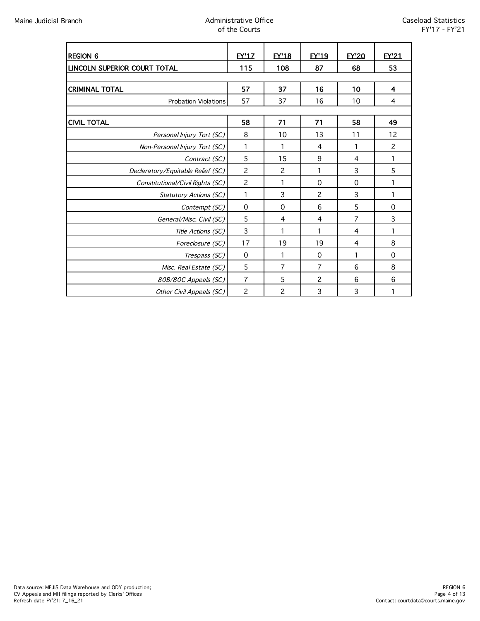| <b>REGION 6</b>                     | <b>FY'17</b>   | <b>EY'18</b>   | <b>EY'19</b>   | <b>EY'20</b> | <b>FY'21</b>   |
|-------------------------------------|----------------|----------------|----------------|--------------|----------------|
| <b>LINCOLN SUPERIOR COURT TOTAL</b> | 115            | 108            | 87             | 68           | 53             |
|                                     |                |                |                |              |                |
| <b>CRIMINAL TOTAL</b>               | 57             | 37             | 16             | 10           | 4              |
| <b>Probation Violations</b>         | 57             | 37             | 16             | 10           | 4              |
|                                     |                |                |                |              |                |
| <b>CIVIL TOTAL</b>                  | 58             | 71             | 71             | 58           | 49             |
| Personal Injury Tort (SC)           | 8              | 10             | 13             | 11           | 12             |
| Non-Personal Injury Tort (SC)       | 1              | 1              | 4              | 1            | $\overline{c}$ |
| Contract (SC)                       | 5              | 15             | 9              | 4            | 1              |
| Declaratory/Equitable Relief (SC)   | $\overline{c}$ | 2              | 1              | 3            | 5              |
| Constitutional/Civil Rights (SC)    | $\overline{c}$ | 1              | $\Omega$       | $\Omega$     |                |
| Statutory Actions (SC)              | 1              | 3              | $\overline{c}$ | 3            | 1              |
| Contempt (SC)                       | 0              | 0              | 6              | 5            | 0              |
| General/Misc. Civil (SC)            | 5              | 4              | 4              | 7            | 3              |
| Title Actions (SC)                  | 3              | 1              |                | 4            |                |
| Foreclosure (SC)                    | 17             | 19             | 19             | 4            | 8              |
| Trespass (SC)                       | $\mathbf 0$    | 1              | $\Omega$       | 1            | $\Omega$       |
| Misc. Real Estate (SC)              | 5              | $\overline{7}$ | $\overline{7}$ | 6            | 8              |
| 80B/80C Appeals (SC)                | 7              | 5              | 2              | 6            | 6              |
| Other Civil Appeals (SC)            | $\overline{c}$ | $\overline{c}$ | 3              | 3            |                |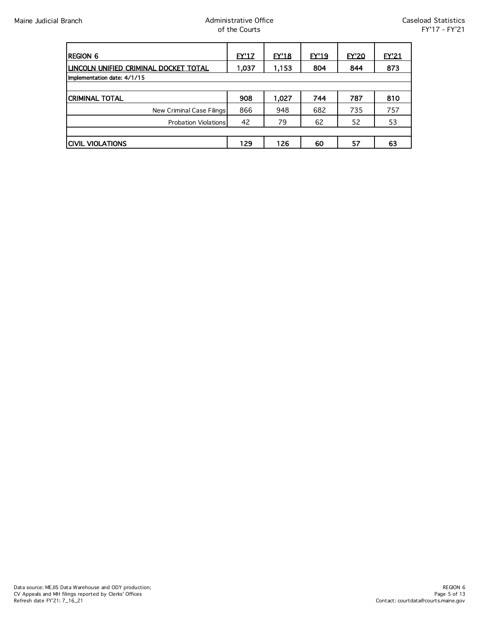| <b>REGION 6</b>                       | EY'17 | EY'18 | EY'19 | <b>EY'20</b> | EY'21 |
|---------------------------------------|-------|-------|-------|--------------|-------|
| LINCOLN UNIFIED CRIMINAL DOCKET TOTAL | 1,037 | 1,153 | 804   | 844          | 873   |
| Implementation date: 4/1/15           |       |       |       |              |       |
|                                       |       |       |       |              |       |
| ICRIMINAL TOTAL                       | 908   | 1,027 | 744   | 787          | 810   |
| New Criminal Case Filings             | 866   | 948   | 682   | 735          | 757   |
| <b>Probation Violations</b>           | 42    | 79    | 62    | 52           | 53    |
|                                       |       |       |       |              |       |
| <b>CIVIL VIOLATIONS</b>               | 129   | 126   | 60    | 57           | 63    |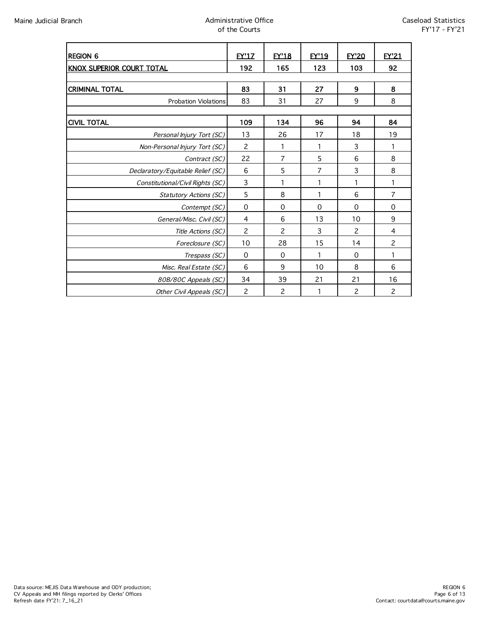| <b>REGION 6</b>                   | <b>EY'17</b>   | <b>EY'18</b>   | <b>EY'19</b> | <b>EY'20</b>   | <b>FY'21</b>   |
|-----------------------------------|----------------|----------------|--------------|----------------|----------------|
| KNOX SUPERIOR COURT TOTAL         | 192            | 165            | 123          | 103            | 92             |
|                                   |                |                |              |                |                |
| <b>CRIMINAL TOTAL</b>             | 83             | 31             | 27           | 9              | 8              |
| <b>Probation Violations</b>       | 83             | 31             | 27           | 9              | 8              |
|                                   |                |                |              |                |                |
| <b>CIVIL TOTAL</b>                | 109            | 134            | 96           | 94             | 84             |
| Personal Injury Tort (SC)         | 13             | 26             | 17           | 18             | 19             |
| Non-Personal Injury Tort (SC)     | 2              | 1              | 1            | 3              | 1              |
| Contract (SC)                     | 22             | 7              | 5            | 6              | 8              |
| Declaratory/Equitable Relief (SC) | 6              | 5              | 7            | 3              | 8              |
| Constitutional/Civil Rights (SC)  | 3              | 1              | 1            | 1              | 1              |
| <b>Statutory Actions (SC)</b>     | 5              | 8              | 1            | 6              | $\overline{7}$ |
| Contempt (SC)                     | $\mathbf 0$    | 0              | 0            | $\mathbf 0$    | $\mathbf 0$    |
| General/Misc. Civil (SC)          | 4              | 6              | 13           | 10             | 9              |
| Title Actions (SC)                | $\overline{c}$ | $\mathcal{P}$  | 3            | $\mathcal{P}$  | 4              |
| Foreclosure (SC)                  | 10             | 28             | 15           | 14             | $\overline{c}$ |
| Trespass (SC)                     | $\mathbf 0$    | $\mathbf 0$    | 1            | $\mathbf 0$    | 1              |
| Misc. Real Estate (SC)            | 6              | 9              | 10           | 8              | 6              |
| 80B/80C Appeals (SC)              | 34             | 39             | 21           | 21             | 16             |
| Other Civil Appeals (SC)          | $\overline{c}$ | $\overline{c}$ | 1            | $\overline{c}$ | $\overline{c}$ |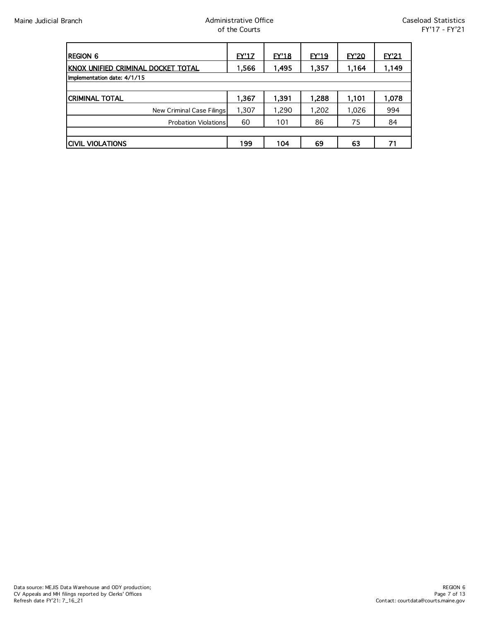| <b>REGION 6</b>                    | EY'17 | EY'18 | <b>EY'19</b> | <b>EY'20</b> | <b>EY'21</b> |
|------------------------------------|-------|-------|--------------|--------------|--------------|
| KNOX UNIFIED CRIMINAL DOCKET TOTAL | 1,566 | 1,495 | 1,357        | 1,164        | 1,149        |
| Implementation date: 4/1/15        |       |       |              |              |              |
|                                    |       |       |              |              |              |
| ICRIMINAL TOTAL                    | 1,367 | 1,391 | 1,288        | 1,101        | 1,078        |
| New Criminal Case Filings          | 1,307 | 1,290 | 1,202        | 1,026        | 994          |
| <b>Probation Violations</b>        | 60    | 101   | 86           | 75           | 84           |
|                                    |       |       |              |              |              |
| ICIVIL VIOLATIONS                  | 199   | 104   | 69           | 63           |              |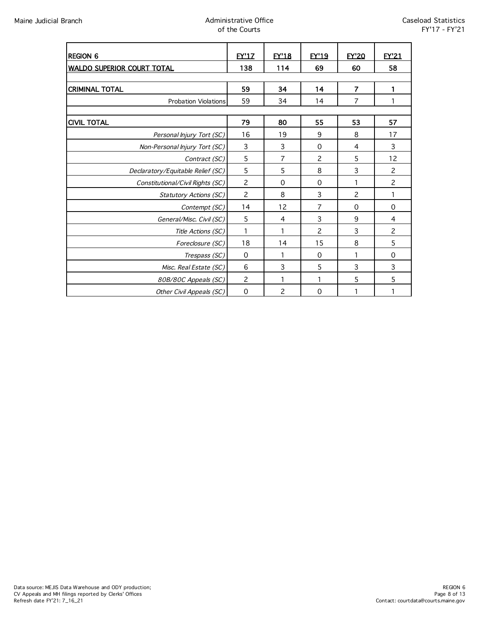| <b>REGION 6</b>                   | <b>FY'17</b>   | <b>EY'18</b>   | <b>FY'19</b>   | <b>EY'20</b>   | EY'21          |
|-----------------------------------|----------------|----------------|----------------|----------------|----------------|
| <b>WALDO SUPERIOR COURT TOTAL</b> | 138            | 114            | 69             | 60             | 58             |
|                                   |                |                |                |                |                |
| <b>CRIMINAL TOTAL</b>             | 59             | 34             | 14             | $\overline{7}$ |                |
| <b>Probation Violations</b>       | 59             | 34             | 14             | 7              |                |
|                                   |                |                |                |                |                |
| <b>CIVIL TOTAL</b>                | 79             | 80             | 55             | 53             | 57             |
| Personal Injury Tort (SC)         | 16             | 19             | 9              | 8              | 17             |
| Non-Personal Injury Tort (SC)     | 3              | 3              | $\mathbf 0$    | 4              | 3              |
| Contract (SC)                     | 5              | 7              | $\mathbf{2}$   | 5              | 12             |
| Declaratory/Equitable Relief (SC) | 5              | 5              | 8              | 3              | $\overline{c}$ |
| Constitutional/Civil Rights (SC)  | $\overline{c}$ | $\Omega$       | $\Omega$       | 1              | $\overline{c}$ |
| Statutory Actions (SC)            | $\overline{c}$ | 8              | 3              | $\overline{c}$ | 1              |
| Contempt (SC)                     | 14             | 12             | 7              | $\Omega$       | 0              |
| General/Misc. Civil (SC)          | 5              | 4              | 3              | 9              | 4              |
| Title Actions (SC)                |                |                | $\overline{c}$ | 3              | $\overline{c}$ |
| Foreclosure (SC)                  | 18             | 14             | 15             | 8              | 5              |
| Trespass (SC)                     | $\mathbf 0$    | 1              | $\Omega$       |                | $\Omega$       |
| Misc. Real Estate (SC)            | 6              | 3              | 5              | 3              | 3              |
| 80B/80C Appeals (SC)              | 2              | 1              | 1              | 5              | 5              |
| Other Civil Appeals (SC)          | $\mathbf 0$    | $\overline{c}$ | $\mathbf 0$    | 1              | 1              |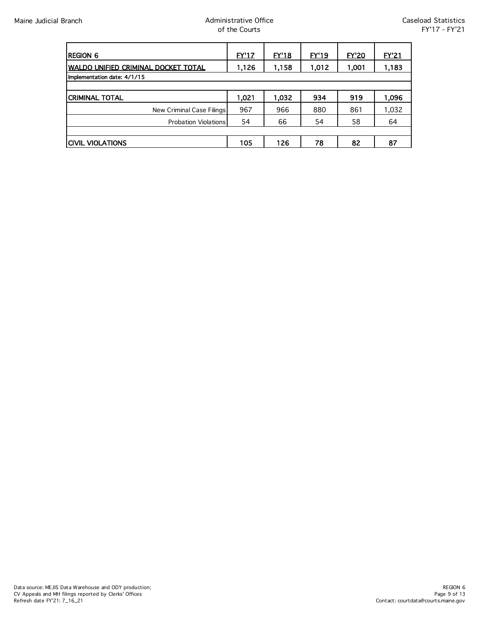| <b>REGION 6</b>                            | <u>EY'17</u> | <u>EY'18</u> | EY'19 | <u>EY'20</u> | <u>EY'21</u> |
|--------------------------------------------|--------------|--------------|-------|--------------|--------------|
| <b>WALDO UNIFIED CRIMINAL DOCKET TOTAL</b> | 1,126        | 1,158        | 1,012 | 1,001        | 1,183        |
| Implementation date: 4/1/15                |              |              |       |              |              |
|                                            |              |              |       |              |              |
| <b>CRIMINAL TOTAL</b>                      | 1,021        | 1,032        | 934   | 919          | 1,096        |
| New Criminal Case Filings                  | 967          | 966          | 880   | 861          | 1,032        |
| <b>Probation Violations</b>                | 54           | 66           | 54    | 58           | 64           |
|                                            |              |              |       |              |              |
| <b>CIVIL VIOLATIONS</b>                    | 105          | 126          | 78    | 82           | 87           |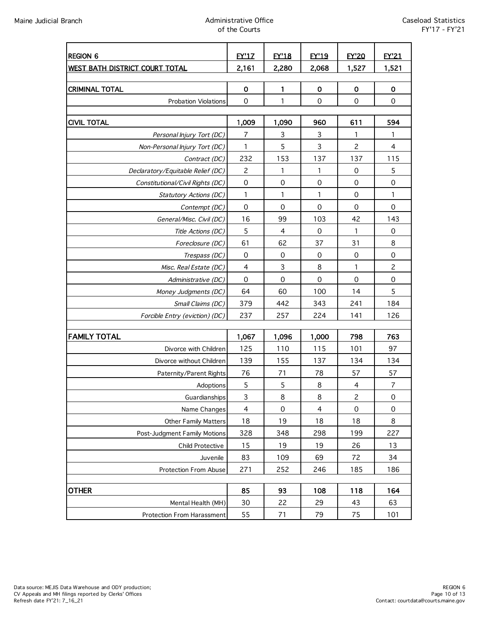| <b>REGION 6</b>                   | <b>EY'1Z</b>        | <b>EY'18</b>   | <b>EY'19</b>             | <b>EY'20</b>        | EY'21               |
|-----------------------------------|---------------------|----------------|--------------------------|---------------------|---------------------|
| WEST BATH DISTRICT COURT TOTAL    | 2,161               | 2,280          | 2,068                    | 1,527               | 1,521               |
|                                   |                     |                |                          |                     |                     |
| <b>CRIMINAL TOTAL</b>             | $\mathbf 0$         | $\mathbf{1}$   | $\mathbf 0$              | $\mathbf 0$         | $\mathbf 0$         |
| Probation Violations              | $\mathbf 0$         | 1              | $\mathbf 0$              | $\mathbf 0$         | $\mathbf 0$         |
|                                   |                     |                |                          |                     |                     |
| <b>CIVIL TOTAL</b>                | 1,009               | 1,090          | 960                      | 611                 | 594                 |
| Personal Injury Tort (DC)         | $\overline{7}$      | 3              | 3                        | 1                   | 1                   |
| Non-Personal Injury Tort (DC)     | 1                   | 5              | 3                        | $\overline{c}$      | 4                   |
| Contract (DC)                     | 232                 | 153            | 137                      | 137                 | 115                 |
| Declaratory/Equitable Relief (DC) | $\overline{c}$      | 1              | 1                        | $\mathbf 0$         | 5                   |
| Constitutional/Civil Rights (DC)  | $\mathsf{O}\xspace$ | $\mathbf 0$    | $\mathbf 0$              | $\mathbf 0$         | $\mathbf 0$         |
| Statutory Actions (DC)            | $\mathbf{1}$        | $\mathbf{1}$   | $\mathbf{1}$             | $\mathbf 0$         | 1                   |
| Contempt (DC)                     | $\mathbf 0$         | $\Omega$       | $\Omega$                 | $\Omega$            | $\mathbf 0$         |
| General/Misc. Civil (DC)          | 16                  | 99             | 103                      | 42                  | 143                 |
| Title Actions (DC)                | 5                   | $\overline{4}$ | $\mathbf 0$              | 1                   | $\mathbf 0$         |
| Foreclosure (DC)                  | 61                  | 62             | 37                       | 31                  | 8                   |
| Trespass (DC)                     | 0                   | 0              | 0                        | $\mathbf 0$         | $\mathbf 0$         |
| Misc. Real Estate (DC)            | $\overline{4}$      | $\mathbf{3}$   | 8                        | 1                   | $\overline{c}$      |
| Administrative (DC)               | $\mathbf 0$         | $\mathbf 0$    | $\mathbf 0$              | $\mathbf 0$         | $\mathbf 0$         |
| Money Judgments (DC)              | 64                  | 60             | 100                      | 14                  | 5                   |
| Small Claims (DC)                 | 379                 | 442            | 343                      | 241                 | 184                 |
| Forcible Entry (eviction) (DC)    | 237                 | 257            | 224                      | 141                 | 126                 |
| <b>FAMILY TOTAL</b>               | 1,067               | 1,096          | 1,000                    | 798                 | 763                 |
| Divorce with Children             | 125                 | 110            | 115                      | 101                 | 97                  |
| Divorce without Children          | 139                 | 155            | 137                      | 134                 | 134                 |
| Paternity/Parent Rights           | 76                  | 71             | 78                       | 57                  | 57                  |
| Adoptions                         | $\sqrt{5}$          | $\sqrt{5}$     | 8                        | 4                   | $\overline{7}$      |
| Guardianships                     | 3                   | 8              | 8                        | 2                   | 0                   |
| Name Changes                      | $\overline{4}$      | 0              | $\overline{\mathcal{A}}$ | $\mathsf{O}\xspace$ | $\mathsf{O}\xspace$ |
| Other Family Matters              | 18                  | 19             | 18                       | 18                  | 8                   |
| Post-Judgment Family Motions      | 328                 | 348            | 298                      | 199                 | 227                 |
| Child Protective                  | 15                  | 19             | 19                       | 26                  | 13                  |
| Juvenile                          | 83                  | 109            | 69                       | 72                  | 34                  |
| Protection From Abuse             | 271                 | 252            | 246                      | 185                 | 186                 |
|                                   |                     |                |                          |                     |                     |
| <b>OTHER</b>                      | 85                  | 93             | 108                      | 118                 | 164                 |
| Mental Health (MH)                | 30                  | 22             | 29                       | 43                  | 63                  |
| Protection From Harassment        | 55                  | 71             | 79                       | 75                  | 101                 |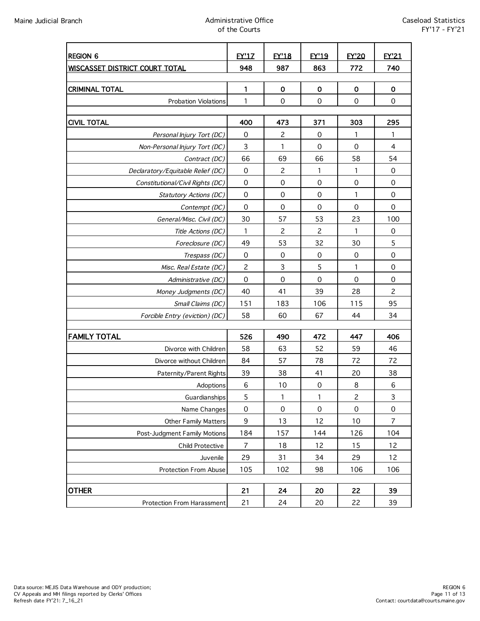| <b>REGION 6</b>                       | <b>EY'17</b>             | <b>FY'18</b>             | <b>FY'19</b>             | <b>FY'20</b>             | <b>FY'21</b>            |
|---------------------------------------|--------------------------|--------------------------|--------------------------|--------------------------|-------------------------|
| <b>WISCASSET DISTRICT COURT TOTAL</b> | 948                      | 987                      | 863                      | 772                      | 740                     |
|                                       |                          |                          |                          |                          |                         |
| <b>CRIMINAL TOTAL</b>                 | 1                        | $\pmb{0}$                | $\mathbf 0$              | $\mathbf 0$              | $\mathbf 0$             |
| <b>Probation Violations</b>           | 1                        | $\mathbf 0$              | $\mathbf 0$              | $\mathbf 0$              | $\mathbf 0$             |
|                                       |                          |                          |                          |                          |                         |
| <b>CIVIL TOTAL</b>                    | 400                      | 473                      | 371                      | 303                      | 295                     |
| Personal Injury Tort (DC)             | 0                        | 2                        | 0                        | 1                        | 1                       |
| Non-Personal Injury Tort (DC)         | 3                        | 1                        | $\Omega$                 | $\Omega$                 | $\overline{\mathbf{4}}$ |
| Contract (DC)                         | 66                       | 69                       | 66                       | 58                       | 54                      |
| Declaratory/Equitable Relief (DC)     | $\mathbf 0$              | $\overline{c}$           | 1                        | 1                        | $\mathbf 0$             |
| Constitutional/Civil Rights (DC)      | $\mathbf 0$              | $\mathbf 0$              | $\mathbf 0$              | $\mathbf 0$              | $\mathbf 0$             |
| Statutory Actions (DC)                | 0                        | $\mathbf 0$              | $\mathbf 0$              | 1                        | $\mathbf 0$             |
| Contempt (DC)                         | $\mathbf 0$              | $\mathbf 0$              | $\mathbf 0$              | $\mathbf 0$              | $\mathbf 0$             |
| General/Misc. Civil (DC)              | 30                       | 57                       | 53                       | 23                       | 100                     |
| Title Actions (DC)                    | 1                        | $\overline{c}$           | $\overline{c}$           | 1                        | 0                       |
| Foreclosure (DC)                      | 49                       | 53                       | 32                       | 30                       | 5                       |
| Trespass (DC)                         | 0                        | 0                        | 0                        | 0                        | $\mathbf 0$             |
| Misc. Real Estate (DC)                | $\overline{c}$           | $\mathsf{3}$             | 5                        | 1                        | $\mathbf 0$             |
| Administrative (DC)                   | $\mathbf 0$              | $\mathbf 0$              | $\mathbf 0$              | $\mathbf 0$              | $\mathbf 0$             |
| Money Judgments (DC)                  | 40                       | 41                       | 39                       | 28                       | $\overline{c}$          |
| Small Claims (DC)                     | 151                      | 183                      | 106                      | 115                      | 95                      |
| Forcible Entry (eviction) (DC)        | 58                       | 60                       | 67                       | 44                       | 34                      |
| <b>FAMILY TOTAL</b>                   |                          |                          |                          |                          |                         |
|                                       | 526<br>58                | 490<br>63                | 472<br>52                | 447<br>59                | 406<br>46               |
| Divorce with Children                 |                          |                          |                          | 72                       |                         |
| Divorce without Children              | 84                       | 57                       | 78                       |                          | 72                      |
| Paternity/Parent Rights               | 39                       | 38                       | 41                       | 20<br>$\,8\,$            | 38<br>6                 |
| Adoptions                             | 6                        | 10                       | $\mathbf 0$              |                          |                         |
| Guardianships                         | 5<br>$\mathsf{O}\xspace$ | 1<br>$\mathsf{O}\xspace$ | 1<br>$\mathsf{O}\xspace$ | 2<br>$\mathsf{O}\xspace$ | 3<br>$\mathbf 0$        |
| Name Changes                          |                          |                          |                          |                          |                         |
| Other Family Matters                  | $\boldsymbol{9}$         | 13                       | 12                       | 10                       | $\overline{7}$          |
| Post-Judgment Family Motions          | 184                      | 157                      | 144                      | 126                      | 104                     |
| Child Protective                      | $\overline{7}$           | 18                       | 12                       | 15                       | 12                      |
| Juvenile                              | 29                       | 31                       | 34                       | 29                       | 12                      |
| Protection From Abuse                 | 105                      | 102                      | 98                       | 106                      | 106                     |
| <b>OTHER</b>                          | 21                       | 24                       | 20                       | 22                       | 39                      |
| Protection From Harassment            | 21                       | 24                       | 20                       | 22                       | 39                      |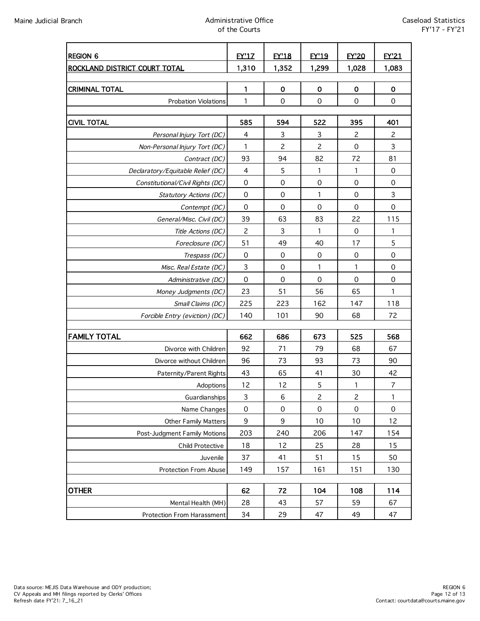| <b>REGION 6</b>                           | <b>EY'17</b>       | <b>EY'18</b>        | <b>EY'19</b>         | <b>EY'20</b>        | EY'21               |
|-------------------------------------------|--------------------|---------------------|----------------------|---------------------|---------------------|
| ROCKLAND DISTRICT COURT TOTAL             | 1,310              | 1,352               | 1,299                | 1,028               | 1,083               |
|                                           |                    |                     |                      |                     |                     |
| <b>CRIMINAL TOTAL</b>                     | $\mathbf{1}$       | $\mathbf 0$         | $\mathbf 0$          | $\mathbf 0$         | $\mathbf 0$         |
| <b>Probation Violations</b>               | 1                  | $\Omega$            | $\mathbf 0$          | $\mathbf 0$         | $\mathbf 0$         |
|                                           |                    |                     |                      |                     |                     |
| <b>CIVIL TOTAL</b>                        | 585                | 594                 | 522                  | 395                 | 401                 |
| Personal Injury Tort (DC)                 | $\overline{4}$     | 3                   | 3                    | $\overline{c}$      | $\overline{c}$<br>3 |
| Non-Personal Injury Tort (DC)             | $\mathbf{1}$<br>93 | $\overline{c}$      | $\overline{c}$<br>82 | $\mathbf 0$<br>72   | 81                  |
| Contract (DC)                             |                    | 94                  |                      | 1                   |                     |
| Declaratory/Equitable Relief (DC)         | 4<br>$\mbox{O}$    | 5<br>$\mathbf 0$    | 1<br>$\mathbf 0$     | $\mathbf 0$         | 0<br>$\mathbf 0$    |
| Constitutional/Civil Rights (DC)          | 0                  | 0                   | 1                    | $\mathbf 0$         | 3                   |
| Statutory Actions (DC)                    | $\mathbf 0$        | 0                   | $\Omega$             | $\mathbf 0$         | $\mathbf 0$         |
| Contempt (DC)<br>General/Misc. Civil (DC) | 39                 | 63                  | 83                   | 22                  | 115                 |
|                                           | $\overline{c}$     | 3                   | 1                    | $\mathbf 0$         | 1                   |
| Title Actions (DC)                        | 51                 | 49                  | 40                   | 17                  | 5                   |
| Foreclosure (DC)                          | $\mathbf 0$        | 0                   | $\mathbf 0$          | $\mathbf 0$         | $\mathbf 0$         |
| Trespass (DC)<br>Misc. Real Estate (DC)   | 3                  | $\mathbf 0$         | $\mathbf{1}$         | 1                   | $\mathbf 0$         |
| Administrative (DC)                       | $\mathbf 0$        | $\mathbf 0$         | $\mathbf 0$          | $\mathbf 0$         | $\mathbf 0$         |
| Money Judgments (DC)                      | 23                 | 51                  | 56                   | 65                  | $\mathbf{1}$        |
| Small Claims (DC)                         | 225                | 223                 | 162                  | 147                 | 118                 |
| Forcible Entry (eviction) (DC)            | 140                | 101                 | 90                   | 68                  | 72                  |
|                                           |                    |                     |                      |                     |                     |
| <b>FAMILY TOTAL</b>                       | 662                | 686                 | 673                  | 525                 | 568                 |
| Divorce with Children                     | 92                 | 71                  | 79                   | 68                  | 67                  |
| Divorce without Children                  | 96                 | 73                  | 93                   | 73                  | 90                  |
| Paternity/Parent Rights                   | 43                 | 65                  | 41                   | 30                  | 42                  |
| Adoptions                                 | 12                 | 12                  | $\mathsf S$          | 1                   | $\overline{7}$      |
| Guardianships                             | 3                  | 6                   | $\overline{c}$       | 2                   | 1                   |
| Name Changes                              | $\mbox{O}$         | $\mathsf{O}\xspace$ | $\mathsf{O}\xspace$  | $\mathsf{O}\xspace$ | $\mathbf 0$         |
| Other Family Matters                      | 9                  | 9                   | 10                   | 10                  | 12                  |
| Post-Judgment Family Motions              | 203                | 240                 | 206                  | 147                 | 154                 |
| Child Protective                          | 18                 | 12                  | 25                   | 28                  | 15                  |
| Juvenile                                  | 37                 | 41                  | 51                   | 15                  | 50                  |
| Protection From Abuse                     | 149                | 157                 | 161                  | 151                 | 130                 |
|                                           |                    |                     |                      |                     |                     |
| <b>OTHER</b>                              | 62                 | 72                  | 104                  | 108                 | 114                 |
| Mental Health (MH)                        | 28                 | 43                  | 57                   | 59                  | 67                  |
| Protection From Harassment                | 34                 | 29                  | 47                   | 49                  | 47                  |